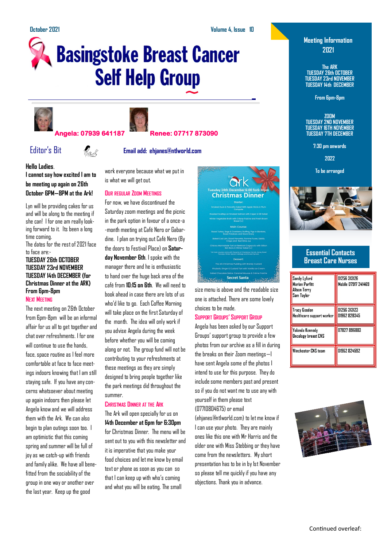# **Basingstoke Breast Cancer Self Help Group**





#### **Angela: 07939 641187 Renee: 07717 873090**

Editor's Bit **Email add: ehjanes@ntlworld.com**

**Hello Ladies**.

**I cannot say how excited I am to be meeting up again on 26th October 6PM—8PM at the Ark!** 

Lyn will be providing cakes for us and will be along to the meeting if she can! I for one am really looking forward to it. Its been a long time coming.

The dates for the rest of 2021 face to face are:-

#### **TUESDAY 26th OCTOBER TUESDAY 23rd NOVEMBER TUESDAY 14th DECEMBER (for Christmas Dinner at the ARK) From 6pm-8pm NEXT MEETING**

The next meeting on 26th October from 6pm-8pm will be an informal affair for us all to get together and chat over refreshments. I for one will continue to use the hands, face, space routine as I feel more comfortable at face to face meetings indoors knowing that I am still staying safe. If you have any concerns whatsoever about meeting up again indoors then please let Angela know and we will address them with the Ark. We can also begin to plan outings soon too. I am optimistic that this coming spring and summer will be full of joy as we catch-up with friends and family alike. We have all benefitted from the sociability of the group in one way or another over the last year. Keep up the good

work everyone because what we put in is what we will get out.

#### **OUR REGULAR ZOOM MEETINGS**

For now, we have discontinued the Saturday zoom meetings and the picnic in the park option in favour of a once-a -month meeting at Café Nero or Gabardine. I plan on trying out Café Nero (By the doors to Festival Place) on **Saturday November 6th**. I spoke with the manager there and he is enthusiastic to hand over the huge back area of the café from **10:15 on 6th**. We will need to book ahead in case there are lots of us who'd like to go. Each Coffee Morning will take place on the first Saturday of the month. The idea will only work if you advise Angela during the week before whether you will be coming along or not. The group fund will not be contributing to your refreshments at these meetings as they are simply designed to bring people together like the park meetings did throughout the summer.

#### **CHRISTMAS DINNER AT THE ARK**

The Ark will open specially for us on **14th December at 6pm for 6:30pm**  for Christmas Dinner. The menu will be sent out to you with this newsletter and it is imperative that you make your food choices and let me know by email text or phone as soon as you can so that I can keep up with who's coming and what you will be eating. The small



size menu is above and the readable size one is attached. There are some lovely choices to be made.

#### **SUPPORT GROUPS' SUPPORT GROUP**

Angela has been asked by our Support Groups' support group to provide a few photos from our archive as a fill in during the breaks on their Zoom meetings—I have sent Angela some of the photos I intend to use for this purpose. They do include some members past and present so if you do not want me to use any with yourself in them please text (07710804675) or email

(ehjanes@ntlworld.com) to let me know if I can use your photo. They are mainly ones like this one with Mr Harris and the older one with Miss Stebbing or they have come from the newsletters. My short presentation has to be in by 1st November so please tell me quickly if you have any objections. Thank you in advance.

### **Meeting Information 2021**

**The ARK TUESDAY 26th OCTOBER TUESDAY 23rd NOVEMBER TUESDAY 14th DECEMBER**

**From 6pm-8pm**

**ZOOM TUESDAY 2ND NOVEMBER TUESDAY 16TH NOVEMBER TUESDAY 7TH DECEMBER**

**7:30 pm onwards**

**2022**

**To be arranged**



#### **Essential Contacts Breast Care Nurses**

| Sandy Lyford<br><b>Marian Parfitt</b><br>Alison Terry<br>Sam Tavlor | 01256 313126<br>Mobile 07917 241469 |
|---------------------------------------------------------------------|-------------------------------------|
| Tracy Gosden<br>Healthcare support worker                           | 01256 313123<br>01962 828345        |
| Yolanda Kennedy<br>Oncology breast CNS                              | 07827 896883                        |
| Winchester CNS team                                                 | 01962 824592                        |